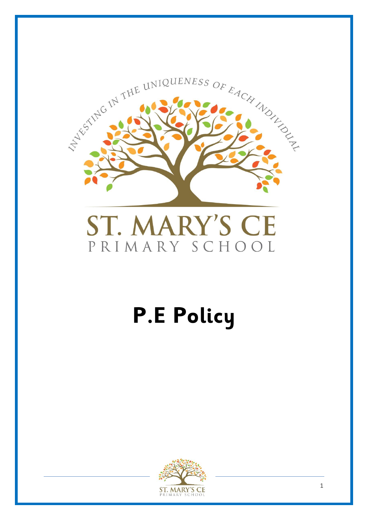

# ST. MARY'S CE PRIMARY SCHOOL

# **P.E Policy**

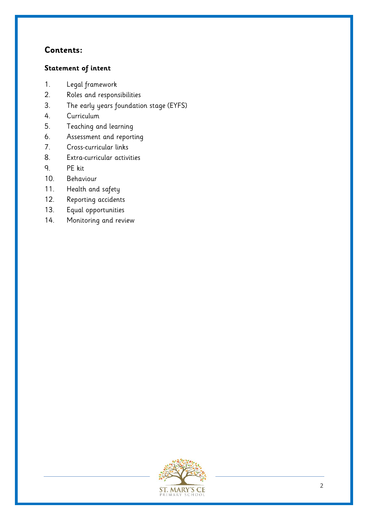# **Contents:**

#### **Statement of intent**

- 1. Legal framework
- 2. Roles and responsibilities
- 3. The early years foundation stage (EYFS)
- 4. Curriculum
- 5. Teaching and learning
- 6. Assessment and reporting
- 7. Cross-curricular links
- 8. Extra-curricular activities
- 9. PE kit
- 10. Behaviour
- 11. Health and safety
- 12. Reporting accidents
- 13. Equal opportunities
- 14. Monitoring and review

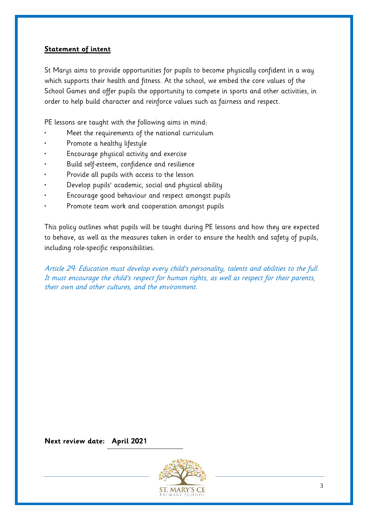#### **Statement of intent**

St Marys aims to provide opportunities for pupils to become physically confident in a way which supports their health and fitness. At the school, we embed the core values of the School Games and offer pupils the opportunity to compete in sports and other activities, in order to help build character and reinforce values such as fairness and respect.

PE lessons are taught with the following aims in mind:

- Meet the requirements of the national curriculum
- Promote a healthy lifestyle
- Encourage physical activity and exercise
- Build self-esteem, confidence and resilience
- Provide all pupils with access to the lesson
- Develop pupils' academic, social and physical ability
- Encourage good behaviour and respect amongst pupils
- Promote team work and cooperation amongst pupils

This policy outlines what pupils will be taught during PE lessons and how they are expected to behave, as well as the measures taken in order to ensure the health and safety of pupils, including role-specific responsibilities.

Article 29: Education must develop every child's personality, talents and abilities to the full. It must encourage the child's respect for human rights, as well as respect for their parents, their own and other cultures, and the environment.

**Next review date: April 2021**

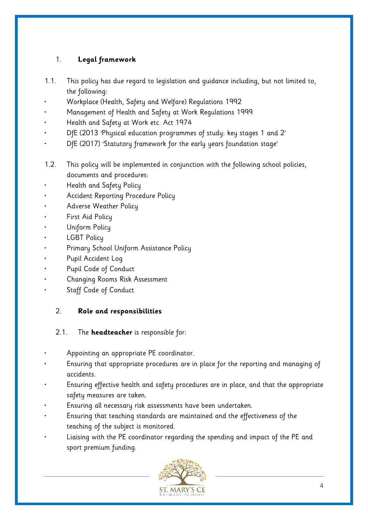## 1. **Legal framework**

- 1.1. This policy has due regard to legislation and guidance including, but not limited to, the following:
- Workplace (Health, Safety and Welfare) Regulations 1992
- Management of Health and Safety at Work Regulations 1999
- Health and Safety at Work etc. Act 1974
- DfE (2013 'Physical education programmes of study: key stages 1 and 2'
- DfE (2017) 'Statutory framework for the early years foundation stage'
- 1.2. This policy will be implemented in conjunction with the following school policies, documents and procedures:
- Health and Safety Policy
- Accident Reporting Procedure Policy
- Adverse Weather Policy
- First Aid Policy
- Uniform Policy
- **LGBT Policy**
- Primary School Uniform Assistance Policy
- Pupil Accident Log
- Pupil Code of Conduct
- Changing Rooms Risk Assessment
- Staff Code of Conduct

### 2. **Role and responsibilities**

#### 2.1. The **headteacher** is responsible for:

- Appointing an appropriate PE coordinator.
- Ensuring that appropriate procedures are in place for the reporting and managing of accidents.
- Ensuring effective health and safety procedures are in place, and that the appropriate safety measures are taken.
- Ensuring all necessary risk assessments have been undertaken.
- Ensuring that teaching standards are maintained and the effectiveness of the teaching of the subject is monitored.
- Liaising with the PE coordinator regarding the spending and impact of the PE and sport premium funding.

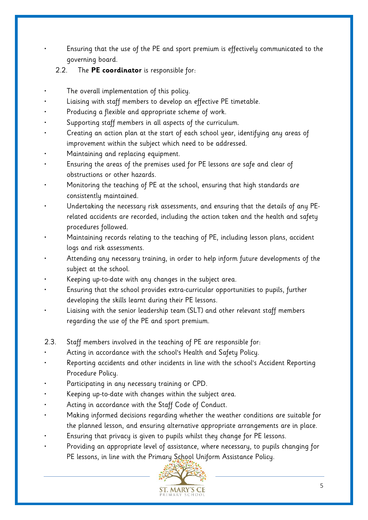• Ensuring that the use of the PE and sport premium is effectively communicated to the governing board.

- 2.2. The **PE coordinator** is responsible for:
- The overall implementation of this policy.
- Liaising with staff members to develop an effective PE timetable.
- Producing a flexible and appropriate scheme of work.
- Supporting staff members in all aspects of the curriculum.
- Creating an action plan at the start of each school year, identifying any areas of improvement within the subject which need to be addressed.
- Maintaining and replacing equipment.
- Ensuring the areas of the premises used for PE lessons are safe and clear of obstructions or other hazards.
- Monitoring the teaching of PE at the school, ensuring that high standards are consistently maintained.
- Undertaking the necessary risk assessments, and ensuring that the details of any PErelated accidents are recorded, including the action taken and the health and safety procedures followed.
- Maintaining records relating to the teaching of PE, including lesson plans, accident logs and risk assessments.
- Attending any necessary training, in order to help inform future developments of the subject at the school.
- Keeping up-to-date with any changes in the subject area.
- Ensuring that the school provides extra-curricular opportunities to pupils, further developing the skills learnt during their PE lessons.
- Liaising with the senior leadership team (SLT) and other relevant staff members regarding the use of the PE and sport premium.
- 2.3. Staff members involved in the teaching of PE are responsible for:
- Acting in accordance with the school's Health and Safety Policy.
- Reporting accidents and other incidents in line with the school's Accident Reporting Procedure Policy.
- Participating in any necessary training or CPD.
- Keeping up-to-date with changes within the subject area.
- Acting in accordance with the Staff Code of Conduct.
- Making informed decisions regarding whether the weather conditions are suitable for the planned lesson, and ensuring alternative appropriate arrangements are in place.
- Ensuring that privacy is given to pupils whilst they change for PE lessons.
- Providing an appropriate level of assistance, where necessary, to pupils changing for PE lessons, in line with the Primary School Uniform Assistance Policy.

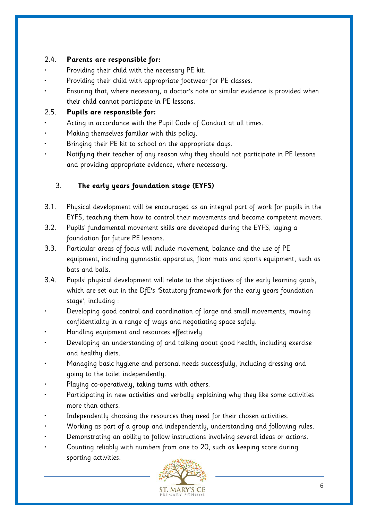#### 2.4. **Parents are responsible for:**

- Providing their child with the necessary PE kit.
- Providing their child with appropriate footwear for PE classes.
- Ensuring that, where necessary, a doctor's note or similar evidence is provided when their child cannot participate in PE lessons.

#### 2.5. **Pupils are responsible for:**

- Acting in accordance with the Pupil Code of Conduct at all times.
- Making themselves familiar with this policy.
- Bringing their PE kit to school on the appropriate days.
- Notifying their teacher of any reason why they should not participate in PE lessons and providing appropriate evidence, where necessary.

#### 3. **The early years foundation stage (EYFS)**

- 3.1. Physical development will be encouraged as an integral part of work for pupils in the EYFS, teaching them how to control their movements and become competent movers.
- 3.2. Pupils' fundamental movement skills are developed during the EYFS, laying a foundation for future PE lessons.
- 3.3. Particular areas of focus will include movement, balance and the use of PE equipment, including gymnastic apparatus, floor mats and sports equipment, such as bats and balls.
- 3.4. Pupils' physical development will relate to the objectives of the early learning goals, which are set out in the DfE's 'Statutory framework for the early years foundation stage', including :
- Developing good control and coordination of large and small movements, moving confidentiality in a range of ways and negotiating space safely.
- Handling equipment and resources effectively.
- Developing an understanding of and talking about good health, including exercise and healthy diets.
- Managing basic hygiene and personal needs successfully, including dressing and going to the toilet independently.
- Playing co-operatively, taking turns with others.
- Participating in new activities and verbally explaining why they like some activities more than others.
- Independently choosing the resources they need for their chosen activities.
- Working as part of a group and independently, understanding and following rules.
- Demonstrating an ability to follow instructions involving several ideas or actions.
- Counting reliably with numbers from one to 20, such as keeping score during sporting activities.

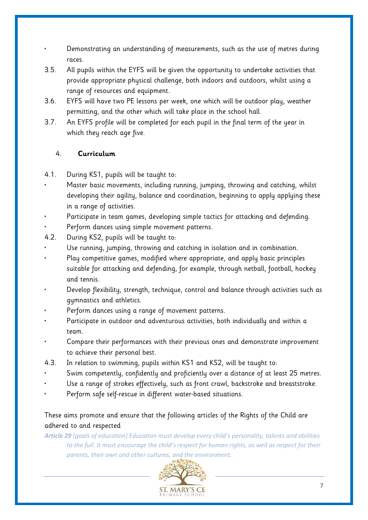• Demonstrating an understanding of measurements, such as the use of metres during races.

- 3.5. All pupils within the EYFS will be given the opportunity to undertake activities that provide appropriate physical challenge, both indoors and outdoors, whilst using a range of resources and equipment.
- 3.6. EYFS will have two PE lessons per week, one which will be outdoor play, weather permitting, and the other which will take place in the school hall.
- 3.7. An EYFS profile will be completed for each pupil in the final term of the year in which they reach age five.

#### 4. **Curriculum**

- 4.1. During KS1, pupils will be taught to:
	- Master basic movements, including running, jumping, throwing and catching, whilst developing their agility, balance and coordination, beginning to apply applying these in a range of activities.
- Participate in team games, developing simple tactics for attacking and defending.
- Perform dances using simple movement patterns.
- 4.2. During KS2, pupils will be taught to:
- Use running, jumping, throwing and catching in isolation and in combination.
- Play competitive games, modified where appropriate, and apply basic principles suitable for attacking and defending, for example, through netball, football, hockey and tennis.
- Develop flexibility, strength, technique, control and balance through activities such as gymnastics and athletics.
- Perform dances using a range of movement patterns.
- Participate in outdoor and adventurous activities, both individually and within a team.
- Compare their performances with their previous ones and demonstrate improvement to achieve their personal best.
- 4.3. In relation to swimming, pupils within KS1 and KS2, will be taught to:
- Swim competently, confidently and proficiently over a distance of at least 25 metres.
- Use a range of strokes effectively, such as front crawl, backstroke and breaststroke.
- Perform safe self-rescue in different water-based situations.

#### These aims promote and ensure that the following articles of the Rights of the Child are adhered to and respected

*Article 29 (goals of education) Education must develop every child's personality, talents and abilities to the full. It must encourage the child's respect for human rights, as well as respect for their parents, their own and other cultures, and the environment.*

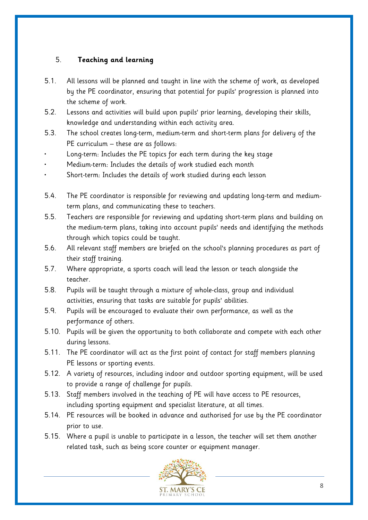#### 5. **Teaching and learning**

- 5.1. All lessons will be planned and taught in line with the scheme of work, as developed by the PE coordinator, ensuring that potential for pupils' progression is planned into the scheme of work.
- 5.2. Lessons and activities will build upon pupils' prior learning, developing their skills, knowledge and understanding within each activity area.
- 5.3. The school creates long-term, medium-term and short-term plans for delivery of the PE curriculum – these are as follows:
- Long-term: Includes the PE topics for each term during the key stage
- Medium-term: Includes the details of work studied each month
- Short-term: Includes the details of work studied during each lesson
- 5.4. The PE coordinator is responsible for reviewing and updating long-term and mediumterm plans, and communicating these to teachers.
- 5.5. Teachers are responsible for reviewing and updating short-term plans and building on the medium-term plans, taking into account pupils' needs and identifying the methods through which topics could be taught.
- 5.6. All relevant staff members are briefed on the school's planning procedures as part of their staff training.
- 5.7. Where appropriate, a sports coach will lead the lesson or teach alongside the teacher.
- 5.8. Pupils will be taught through a mixture of whole-class, group and individual activities, ensuring that tasks are suitable for pupils' abilities.
- 5.9. Pupils will be encouraged to evaluate their own performance, as well as the performance of others.
- 5.10. Pupils will be given the opportunity to both collaborate and compete with each other during lessons.
- 5.11. The PE coordinator will act as the first point of contact for staff members planning PE lessons or sporting events.
- 5.12. A variety of resources, including indoor and outdoor sporting equipment, will be used to provide a range of challenge for pupils.
- 5.13. Staff members involved in the teaching of PE will have access to PE resources, including sporting equipment and specialist literature, at all times.
- 5.14. PE resources will be booked in advance and authorised for use by the PE coordinator prior to use.
- 5.15. Where a pupil is unable to participate in a lesson, the teacher will set them another related task, such as being score counter or equipment manager.

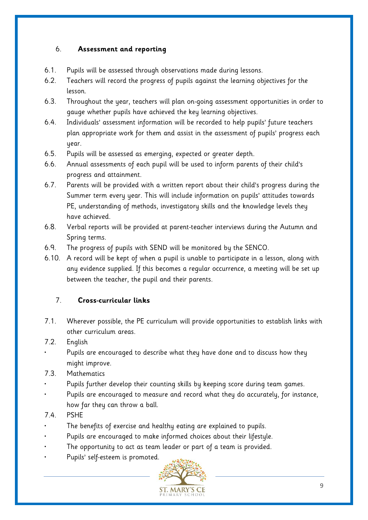#### 6. **Assessment and reporting**

- 6.1. Pupils will be assessed through observations made during lessons.
- 6.2. Teachers will record the progress of pupils against the learning objectives for the lesson.
- 6.3. Throughout the year, teachers will plan on-going assessment opportunities in order to gauge whether pupils have achieved the key learning objectives.
- 6.4. Individuals' assessment information will be recorded to help pupils' future teachers plan appropriate work for them and assist in the assessment of pupils' progress each year.
- 6.5. Pupils will be assessed as emerging, expected or greater depth.
- 6.6. Annual assessments of each pupil will be used to inform parents of their child's progress and attainment.
- 6.7. Parents will be provided with a written report about their child's progress during the Summer term every year. This will include information on pupils' attitudes towards PE, understanding of methods, investigatory skills and the knowledge levels they have achieved.
- 6.8. Verbal reports will be provided at parent-teacher interviews during the Autumn and Spring terms.
- 6.9. The progress of pupils with SEND will be monitored by the SENCO.
- 6.10. A record will be kept of when a pupil is unable to participate in a lesson, along with any evidence supplied. If this becomes a regular occurrence, a meeting will be set up between the teacher, the pupil and their parents.

#### 7. **Cross-curricular links**

- 7.1. Wherever possible, the PE curriculum will provide opportunities to establish links with other curriculum areas.
- 7.2. English
	- Pupils are encouraged to describe what they have done and to discuss how they might improve.
- 7.3. Mathematics
- Pupils further develop their counting skills by keeping score during team games.
- Pupils are encouraged to measure and record what they do accurately, for instance, how far they can throw a ball.
- 7.4. PSHE
- The benefits of exercise and healthy eating are explained to pupils.
- Pupils are encouraged to make informed choices about their lifestyle.
- The opportunity to act as team leader or part of a team is provided.
- Pupils' self-esteem is promoted.

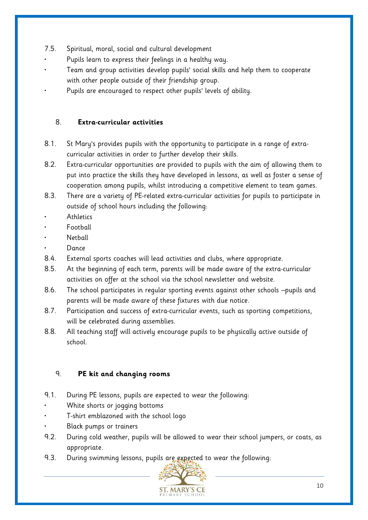- 7.5. Spiritual, moral, social and cultural development
- Pupils learn to express their feelings in a healthy way.
- Team and group activities develop pupils' social skills and help them to cooperate with other people outside of their friendship group.
- Pupils are encouraged to respect other pupils' levels of ability.

#### 8. **Extra-curricular activities**

- 8.1. St Mary's provides pupils with the opportunity to participate in a range of extracurricular activities in order to further develop their skills.
- 8.2. Extra-curricular opportunities are provided to pupils with the aim of allowing them to put into practice the skills they have developed in lessons, as well as foster a sense of cooperation among pupils, whilst introducing a competitive element to team games.
- 8.3. There are a variety of PE-related extra-curricular activities for pupils to participate in outside of school hours including the following:
- **Athletics**
- **Football**
- **Netball**
- Dance
- 8.4. External sports coaches will lead activities and clubs, where appropriate.
- 8.5. At the beginning of each term, parents will be made aware of the extra-curricular activities on offer at the school via the school newsletter and website.
- 8.6. The school participates in regular sporting events against other schools –pupils and parents will be made aware of these fixtures with due notice.
- 8.7. Participation and success of extra-curricular events, such as sporting competitions, will be celebrated during assemblies.
- 8.8. All teaching staff will actively encourage pupils to be physically active outside of school.

#### 9. **PE kit and changing rooms**

- 9.1. During PE lessons, pupils are expected to wear the following:
- White shorts or jogging bottoms
- T-shirt emblazoned with the school logo
- Black pumps or trainers
- 9.2. During cold weather, pupils will be allowed to wear their school jumpers, or coats, as appropriate.
- 9.3. During swimming lessons, pupils are expected to wear the following:

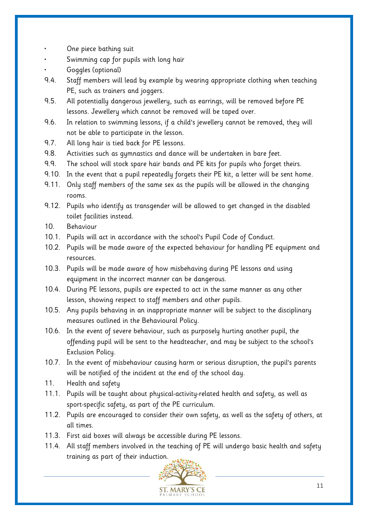- One piece bathing suit
- Swimming cap for pupils with long hair
- Goggles (optional)
- 9.4. Staff members will lead by example by wearing appropriate clothing when teaching PE, such as trainers and joggers.
- 9.5. All potentially dangerous jewellery, such as earrings, will be removed before PE lessons. Jewellery which cannot be removed will be taped over.
- 9.6. In relation to swimming lessons, if a child's jewellery cannot be removed, they will not be able to participate in the lesson.
- 9.7. All long hair is tied back for PE lessons.
- 9.8. Activities such as gymnastics and dance will be undertaken in bare feet.
- 9.9. The school will stock spare hair bands and PE kits for pupils who forget theirs.
- 9.10. In the event that a pupil repeatedly forgets their PE kit, a letter will be sent home.
- 9.11. Only staff members of the same sex as the pupils will be allowed in the changing rooms.
- 9.12. Pupils who identify as transgender will be allowed to get changed in the disabled toilet facilities instead.
- 10. Behaviour
- 10.1. Pupils will act in accordance with the school's Pupil Code of Conduct.
- 10.2. Pupils will be made aware of the expected behaviour for handling PE equipment and resources.
- 10.3. Pupils will be made aware of how misbehaving during PE lessons and using equipment in the incorrect manner can be dangerous.
- 10.4. During PE lessons, pupils are expected to act in the same manner as any other lesson, showing respect to staff members and other pupils.
- 10.5. Any pupils behaving in an inappropriate manner will be subject to the disciplinary measures outlined in the Behavioural Policy.
- 10.6. In the event of severe behaviour, such as purposely hurting another pupil, the offending pupil will be sent to the headteacher, and may be subject to the school's Exclusion Policy.
- 10.7. In the event of misbehaviour causing harm or serious disruption, the pupil's parents will be notified of the incident at the end of the school day.
- 11. Health and safety
- 11.1. Pupils will be taught about physical-activity-related health and safety, as well as sport-specific safety, as part of the PE curriculum.
- 11.2. Pupils are encouraged to consider their own safety, as well as the safety of others, at all times.
- 11.3. First aid boxes will always be accessible during PE lessons.
- 11.4. All staff members involved in the teaching of PE will undergo basic health and safety training as part of their induction.

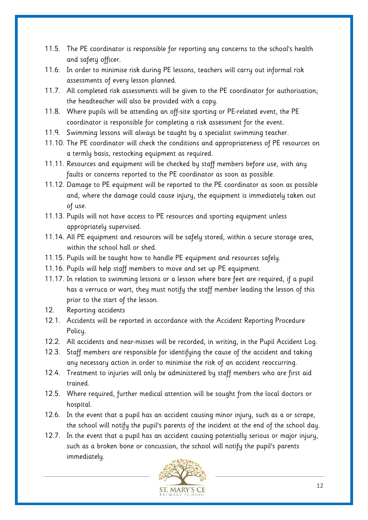- 11.5. The PE coordinator is responsible for reporting any concerns to the school's health and safety officer.
- 11.6. In order to minimise risk during PE lessons, teachers will carry out informal risk assessments of every lesson planned.
- 11.7. All completed risk assessments will be given to the PE coordinator for authorisation; the headteacher will also be provided with a copy.
- 11.8. Where pupils will be attending an off-site sporting or PE-related event, the PE coordinator is responsible for completing a risk assessment for the event.
- 11.9. Swimming lessons will always be taught by a specialist swimming teacher.
- 11.10. The PE coordinator will check the conditions and appropriateness of PE resources on a termly basis, restocking equipment as required.
- 11.11. Resources and equipment will be checked by staff members before use, with any faults or concerns reported to the PE coordinator as soon as possible.
- 11.12. Damage to PE equipment will be reported to the PE coordinator as soon as possible and, where the damage could cause injury, the equipment is immediately taken out of use.
- 11.13. Pupils will not have access to PE resources and sporting equipment unless appropriately supervised.
- 11.14. All PE equipment and resources will be safely stored, within a secure storage area, within the school hall or shed.
- 11.15. Pupils will be taught how to handle PE equipment and resources safely.
- 11.16. Pupils will help staff members to move and set up PE equipment.
- 11.17. In relation to swimming lessons or a lesson where bare feet are required, if a pupil has a verruca or wart, they must notify the staff member leading the lesson of this prior to the start of the lesson.
- 12. Reporting accidents
- 12.1. Accidents will be reported in accordance with the Accident Reporting Procedure Policy.
- 12.2. All accidents and near-misses will be recorded, in writing, in the Pupil Accident Log.
- 12.3. Staff members are responsible for identifying the cause of the accident and taking any necessary action in order to minimise the risk of an accident reoccurring.
- 12.4. Treatment to injuries will only be administered by staff members who are first aid trained.
- 12.5. Where required, further medical attention will be sought from the local doctors or hospital.
- 12.6. In the event that a pupil has an accident causing minor injury, such as a or scrape, the school will notify the pupil's parents of the incident at the end of the school day.
- 12.7. In the event that a pupil has an accident causing potentially serious or major injury, such as a broken bone or concussion, the school will notify the pupil's parents immediately.